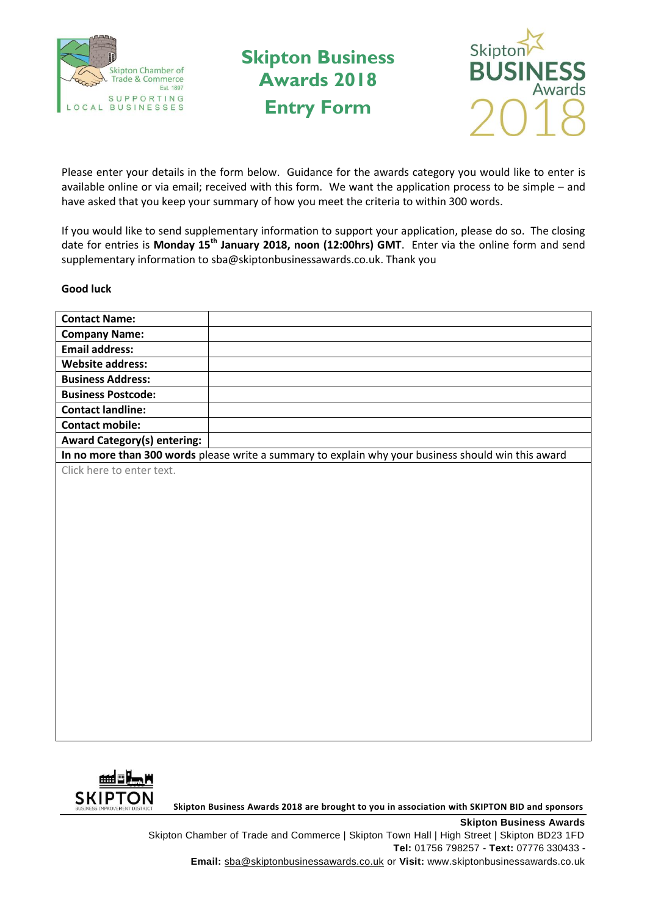

**Skipton Business Awards 2018 Entry Form**



Please enter your details in the form below. Guidance for the awards category you would like to enter is available online or via email; received with this form. We want the application process to be simple – and have asked that you keep your summary of how you meet the criteria to within 300 words.

If you would like to send supplementary information to support your application, please do so. The closing date for entries is **Monday 15th January 2018, noon (12:00hrs) GMT**. Enter via the online form and send supplementary information to sba@skiptonbusinessawards.co.uk. Thank you

## **Good luck**

| <b>Contact Name:</b>                                                                                |  |
|-----------------------------------------------------------------------------------------------------|--|
| <b>Company Name:</b>                                                                                |  |
| <b>Email address:</b>                                                                               |  |
| <b>Website address:</b>                                                                             |  |
| <b>Business Address:</b>                                                                            |  |
| <b>Business Postcode:</b>                                                                           |  |
| <b>Contact landline:</b>                                                                            |  |
| <b>Contact mobile:</b>                                                                              |  |
| <b>Award Category(s) entering:</b>                                                                  |  |
| In no more than 300 words please write a summary to explain why your business should win this award |  |
| Click here to enter text.                                                                           |  |
|                                                                                                     |  |
|                                                                                                     |  |
|                                                                                                     |  |
|                                                                                                     |  |
|                                                                                                     |  |
|                                                                                                     |  |
|                                                                                                     |  |
|                                                                                                     |  |
|                                                                                                     |  |
|                                                                                                     |  |
|                                                                                                     |  |
|                                                                                                     |  |
|                                                                                                     |  |
|                                                                                                     |  |
|                                                                                                     |  |
|                                                                                                     |  |
|                                                                                                     |  |
|                                                                                                     |  |
|                                                                                                     |  |

**SKIPTON**<br>BUSINESS IMPROVEMENT DISTRICT SKIPTON BUSINESS Awards 2018 are brought to you in association with SKIPTON BID and sponsors

**Skipton Business Awards** Skipton Chamber of Trade and Commerce | Skipton Town Hall | High Street | Skipton BD23 1FD **Tel:** 01756 798257 - **Text:** 07776 330433 - **Email:** sba@skiptonbusinessawards.co.uk or **Visit:** www.skiptonbusinessawards.co.uk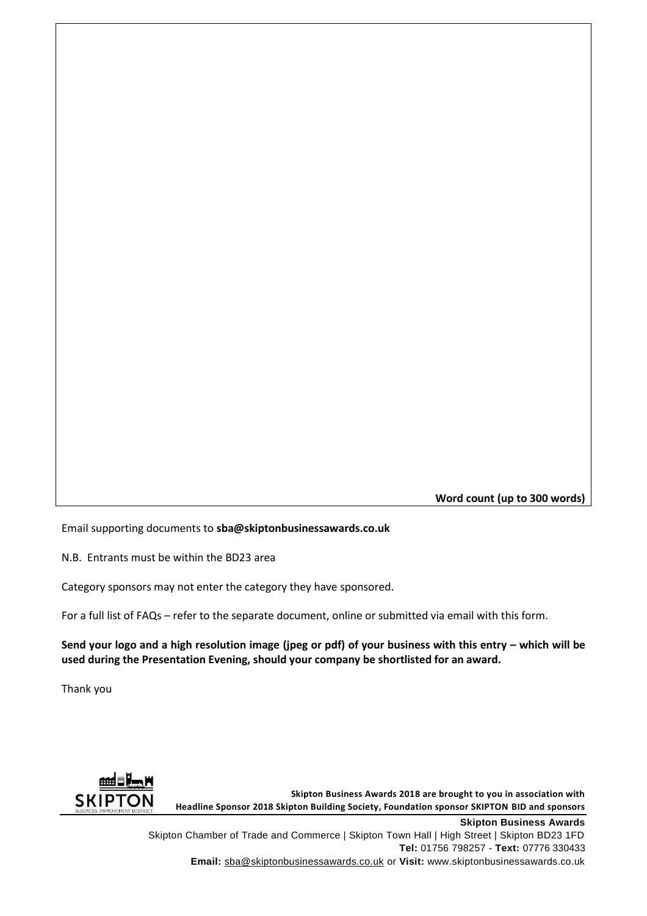**Word count (up to 300 words)**

Email supporting documents to **sba@skiptonbusinessawards.co.uk**

N.B. Entrants must be within the BD23 area

Category sponsors may not enter the category they have sponsored.

For a full list of FAQs – refer to the separate document, online or submitted via email with this form.

**Send your logo and a high resolution image (jpeg or pdf) of your business with this entry – which will be used during the Presentation Evening, should your company be shortlisted for an award.**

Thank you



Skipton Chamber of Trade and Commerce | Skipton Town Hall | High Street | Skipton BD23 1FD **Tel:** 01756 798257 - **Text:** 07776 330433 **Email:** sba@skiptonbusinessawards.co.uk or **Visit:** www.skiptonbusinessawards.co.uk